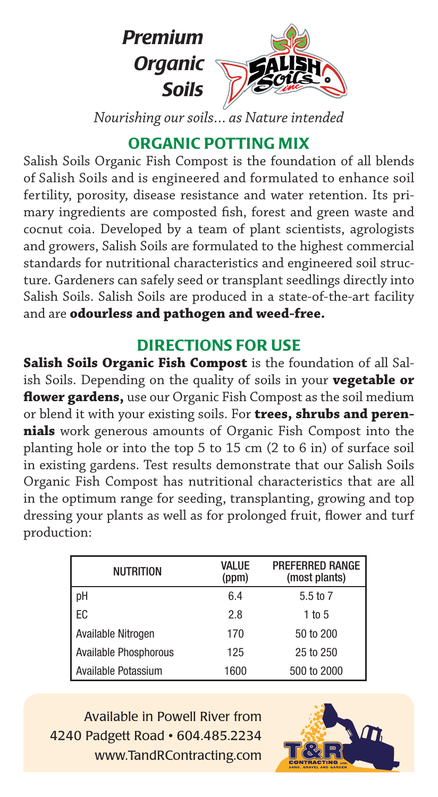

*Nourishing our soils… as Nature intended*

## ORGANIC POTTING MIX

Salish Soils Organic Fish Compost is the foundation of all blends of Salish Soils and is engineered and formulated to enhance soil fertility, porosity, disease resistance and water retention. Its primary ingredients are composted fish, forest and green waste and cocnut coia. Developed by a team of plant scientists, agrologists and growers, Salish Soils are formulated to the highest commercial standards for nutritional characteristics and engineered soil structure. Gardeners can safely seed or transplant seedlings directly into Salish Soils. Salish Soils are produced in a state-of-the-art facility and are **odourless and pathogen and weed-free.**

## DIRECTIONS FOR USE

**Salish Soils Organic Fish Compost** is the foundation of all Salish Soils. Depending on the quality of soils in your **vegetable or flower gardens,** use our Organic Fish Compost as the soil medium or blend it with your existing soils. For **trees, shrubs and perennials** work generous amounts of Organic Fish Compost into the planting hole or into the top 5 to 15 cm (2 to 6 in) of surface soil in existing gardens. Test results demonstrate that our Salish Soils Organic Fish Compost has nutritional characteristics that are all in the optimum range for seeding, transplanting, growing and top dressing your plants as well as for prolonged fruit, flower and turf production:

| <b>NUTRITION</b>      | VALUE<br>(ppm) | <b>PREFERRED RANGE</b><br>(most plants) |
|-----------------------|----------------|-----------------------------------------|
| pH                    | 6.4            | 5.5 to 7                                |
| EC                    | 2.8            | $1$ to 5                                |
| Available Nitrogen    | 170            | 50 to 200                               |
| Available Phosphorous | 125            | 25 to 250                               |
| l Available Potassium | 1600           | 500 to 2000                             |

Available in Powell River from 4240 Padgett Road • 604.485.2234 www.TandRContracting.com